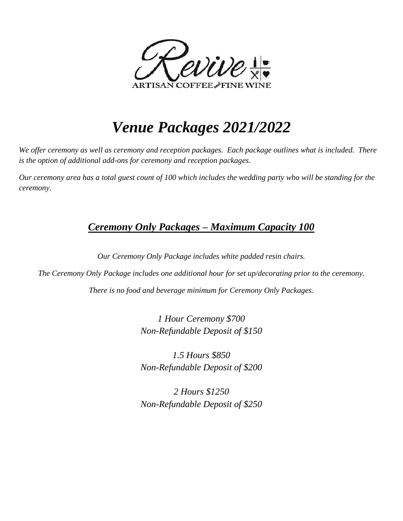

# *Venue Packages 2021/2022*

*We offer ceremony as well as ceremony and reception packages. Each package outlines what is included. There is the option of additional add-ons for ceremony and reception packages.*

*Our ceremony area has a total guest count of 100 which includes the wedding party who will be standing for the ceremony.*

### *Ceremony Only Packages – Maximum Capacity 100*

*Our Ceremony Only Package includes white padded resin chairs.*

*The Ceremony Only Package includes one additional hour for set up/decorating prior to the ceremony. There is no food and beverage minimum for Ceremony Only Packages.*

> *1 Hour Ceremony \$700 Non-Refundable Deposit of \$150*

> *1.5 Hours \$850 Non-Refundable Deposit of \$200*

> *2 Hours \$1250 Non-Refundable Deposit of \$250*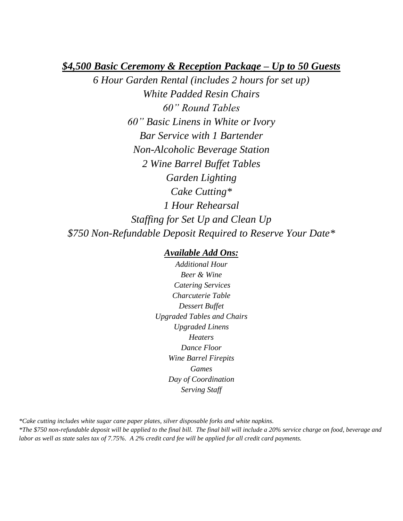#### *\$4,500 Basic Ceremony & Reception Package – Up to 50 Guests*

*6 Hour Garden Rental (includes 2 hours for set up) White Padded Resin Chairs 60" Round Tables 60" Basic Linens in White or Ivory Bar Service with 1 Bartender Non-Alcoholic Beverage Station 2 Wine Barrel Buffet Tables Garden Lighting Cake Cutting\* 1 Hour Rehearsal Staffing for Set Up and Clean Up \$750 Non-Refundable Deposit Required to Reserve Your Date\**

#### *Available Add Ons:*

*Additional Hour Beer & Wine Catering Services Charcuterie Table Dessert Buffet Upgraded Tables and Chairs Upgraded Linens Heaters Dance Floor Wine Barrel Firepits Games Day of Coordination Serving Staff*

*\*Cake cutting includes white sugar cane paper plates, silver disposable forks and white napkins. \*The \$750 non-refundable deposit will be applied to the final bill. The final bill will include a 20% service charge on food, beverage and labor as well as state sales tax of 7.75%. A 2% credit card fee will be applied for all credit card payments.*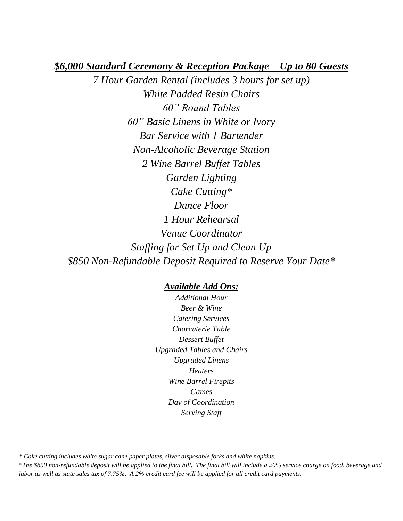#### *\$6,000 Standard Ceremony & Reception Package – Up to 80 Guests*

*7 Hour Garden Rental (includes 3 hours for set up) White Padded Resin Chairs 60" Round Tables 60" Basic Linens in White or Ivory Bar Service with 1 Bartender Non-Alcoholic Beverage Station 2 Wine Barrel Buffet Tables Garden Lighting Cake Cutting\* Dance Floor 1 Hour Rehearsal Venue Coordinator Staffing for Set Up and Clean Up \$850 Non-Refundable Deposit Required to Reserve Your Date\**

#### *Available Add Ons:*

*Additional Hour Beer & Wine Catering Services Charcuterie Table Dessert Buffet Upgraded Tables and Chairs Upgraded Linens Heaters Wine Barrel Firepits Games Day of Coordination Serving Staff*

*\* Cake cutting includes white sugar cane paper plates, silver disposable forks and white napkins.* 

*\*The \$850 non-refundable deposit will be applied to the final bill. The final bill will include a 20% service charge on food, beverage and labor as well as state sales tax of 7.75%. A 2% credit card fee will be applied for all credit card payments.*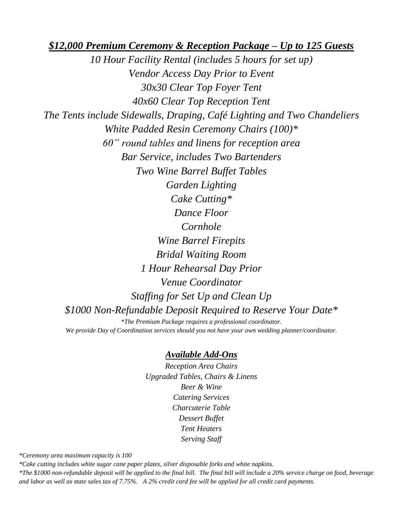*\$12,000 Premium Ceremony & Reception Package – Up to 125 Guests* 

*10 Hour Facility Rental (includes 5 hours for set up) Vendor Access Day Prior to Event 30x30 Clear Top Foyer Tent 40x60 Clear Top Reception Tent The Tents include Sidewalls, Draping, Café Lighting and Two Chandeliers White Padded Resin Ceremony Chairs (100)\* 60" round tables and linens for reception area Bar Service, includes Two Bartenders Two Wine Barrel Buffet Tables Garden Lighting Cake Cutting\* Dance Floor Cornhole Wine Barrel Firepits Bridal Waiting Room 1 Hour Rehearsal Day Prior Venue Coordinator Staffing for Set Up and Clean Up \$1000 Non-Refundable Deposit Required to Reserve Your Date\* \*The Premium Package requires a professional coordinator. We provide Day of Coordination services should you not have your own wedding planner/coordinator.* 

#### *Available Add-Ons*

*Reception Area Chairs Upgraded Tables, Chairs & Linens Beer & Wine Catering Services Charcuterie Table Dessert Buffet Tent Heaters Serving Staff*

*\*Ceremony area maximum capacity is 100*

*\*Cake cutting includes white sugar cane paper plates, silver disposable forks and white napkins.*

*\*The \$1000 non-refundable deposit will be applied to the final bill. The final bill will include a 20% service charge on food, beverage and labor as well as state sales tax of 7.75%. A 2% credit card fee will be applied for all credit card payments.*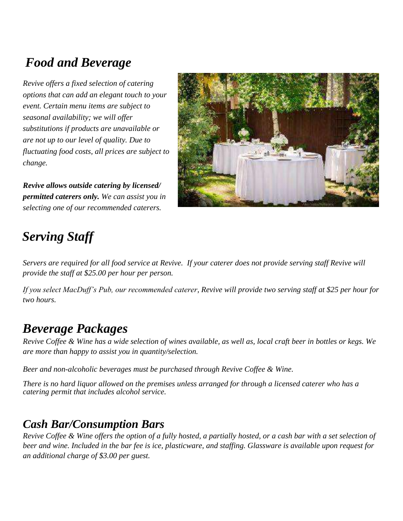# *Food and Beverage*

*Revive offers a fixed selection of catering options that can add an elegant touch to your event. Certain menu items are subject to seasonal availability; we will offer substitutions if products are unavailable or are not up to our level of quality. Due to fluctuating food costs, all prices are subject to change.* 

*Revive allows outside catering by licensed/ permitted caterers only. We can assist you in selecting one of our recommended caterers.*



# *Serving Staff*

*Servers are required for all food service at Revive. If your caterer does not provide serving staff Revive will provide the staff at \$25.00 per hour per person.* 

*If you select MacDuff's Pub, our recommended caterer, Revive will provide two serving staff at \$25 per hour for two hours.*

## *Beverage Packages*

*Revive Coffee & Wine has a wide selection of wines available, as well as, local craft beer in bottles or kegs. We are more than happy to assist you in quantity/selection.*

*Beer and non-alcoholic beverages must be purchased through Revive Coffee & Wine.*

*There is no hard liquor allowed on the premises unless arranged for through a licensed caterer who has a catering permit that includes alcohol service.*

### *Cash Bar/Consumption Bars*

*Revive Coffee & Wine offers the option of a fully hosted, a partially hosted, or a cash bar with a set selection of beer and wine. Included in the bar fee is ice, plasticware, and staffing. Glassware is available upon request for an additional charge of \$3.00 per guest.*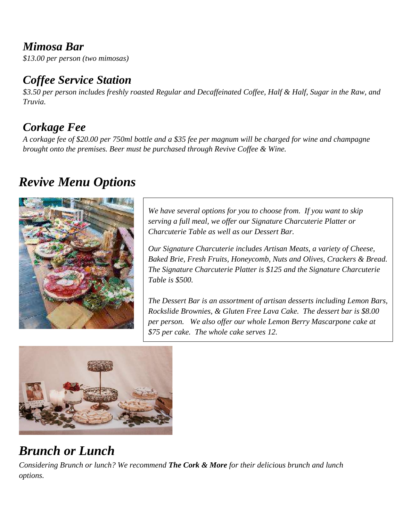## *Mimosa Bar*

*\$13.00 per person (two mimosas)*

## *Coffee Service Station*

*\$3.50 per person includes freshly roasted Regular and Decaffeinated Coffee, Half & Half, Sugar in the Raw, and Truvia.*

## *Corkage Fee*

*A corkage fee of \$20.00 per 750ml bottle and a \$35 fee per magnum will be charged for wine and champagne brought onto the premises. Beer must be purchased through Revive Coffee & Wine.*

## *Revive Menu Options*



*We have several options for you to choose from. If you want to skip serving a full meal, we offer our Signature Charcuterie Platter or Charcuterie Table as well as our Dessert Bar.*

*Our Signature Charcuterie includes Artisan Meats, a variety of Cheese, Baked Brie, Fresh Fruits, Honeycomb, Nuts and Olives, Crackers & Bread. The Signature Charcuterie Platter is \$125 and the Signature Charcuterie Table is \$500.*

*The Dessert Bar is an assortment of artisan desserts including Lemon Bars, Rockslide Brownies, & Gluten Free Lava Cake. The dessert bar is \$8.00 per person. We also offer our whole Lemon Berry Mascarpone cake at \$75 per cake. The whole cake serves 12.*



## *Brunch or Lunch*

*Considering Brunch or lunch? We recommend The Cork & More for their delicious brunch and lunch options.*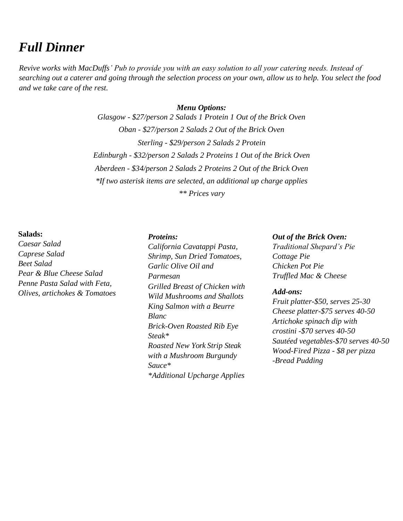## *Full Dinner*

*Revive works with MacDuffs' Pub to provide you with an easy solution to all your catering needs. Instead of searching out a caterer and going through the selection process on your own, allow us to help. You select the food and we take care of the rest.*

### *Menu Options: Glasgow - \$27/person 2 Salads 1 Protein 1 Out of the Brick Oven Oban - \$27/person 2 Salads 2 Out of the Brick Oven Sterling - \$29/person 2 Salads 2 Protein Edinburgh - \$32/person 2 Salads 2 Proteins 1 Out of the Brick Oven Aberdeen - \$34/person 2 Salads 2 Proteins 2 Out of the Brick Oven \*If two asterisk items are selected, an additional up charge applies \*\* Prices vary*

#### **Salads:**

*Caesar Salad Caprese Salad Beet Salad Pear & Blue Cheese Salad Penne Pasta Salad with Feta, Olives, artichokes & Tomatoes* 

#### *Proteins:*

*California Cavatappi Pasta, Shrimp, Sun Dried Tomatoes, Garlic Olive Oil and Parmesan Grilled Breast of Chicken with Wild Mushrooms and Shallots King Salmon with a Beurre Blanc Brick-Oven Roasted Rib Eye Steak\* Roasted New York Strip Steak with a Mushroom Burgundy Sauce\* \*Additional Upcharge Applies*

#### *Out of the Brick Oven:*

*Traditional Shepard's Pie Cottage Pie Chicken Pot Pie Truffled Mac & Cheese*

#### *Add-ons:*

*Fruit platter-\$50, serves 25-30 Cheese platter-\$75 serves 40-50 Artichoke spinach dip with crostini -\$70 serves 40-50 Sautéed vegetables-\$70 serves 40-50 Wood-Fired Pizza - \$8 per pizza -Bread Pudding*